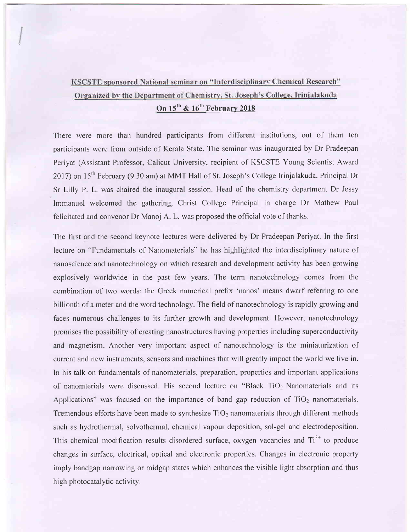## KSCSTE sponsored National seminar on "Interdisciplinary Chemical Research" Organized by the Department of Chemistry, St. Joseph's College, Irinjalakuda On  $15^{th}$  &  $16^{th}$  February 2018

There were more than hundred participants from different institutions, out of them ten participants were from outside of Kerala State. The seminar was inaugurated by Dr Pradeepan Periyat (Assistant Professor, Calicut University, recipient of KSCSTE Young Scientist Award 2017) on  $15<sup>th</sup>$  February (9.30 am) at MMT Hall of St. Joseph's College Irinjalakuda. Principal Dr Sr Lilly P. L. was chaired the inaugural session. Head of the chemistry depaftment Dr Jessy Immanuel welcomed the gathering, Christ College Principal in charge Dr Mathew Paul felicitated and convenor Dr Manoj A. L. was proposed the official vote of thanks.

The first and the second keynote lectures were delivered by Dr Pradeepan Periyat. In the first lecture on "Fundamentals of Nanomaterials" he has highlighted the interdisciplinary nature of nanoscience and nanotechnology on which research and development activity has been growing explosively worldwide in the past few years. The term nanotechnology comes from the combination of two words: the Greek numerical prefix 'nanos' means dwarf referring to one billionth of a meter and the word technology. The field of nanotechnology is rapidly growing and faces numerous challenges to its further growth and development. However, nanotechnology promises the possibility of creating nanostructures having properties including superconductivity and magnetism. Another very important aspect of nanotechnology is the miniaturization of current and new instruments, sensors and machines that will greatly impact the world we live in. In his talk on fundamentals of nanomaterials, preparation, properties and important applications of nanomterials were discussed. His second lecture on "Black  $TiO<sub>2</sub>$  Nanomaterials and its Applications" was focused on the importance of band gap reduction of  $TiO<sub>2</sub>$  nanomaterials. Tremendous efforts have been made to synthesize  $TiO<sub>2</sub>$  nanomaterials through different methods such as hydrothermal, solvothermal, chemical vapour deposition, sol-gel and electrodeposition. This chemical modification results disordered surface, oxygen vacancies and  $Ti<sup>3+</sup>$  to produce changes in surface, electrical, optical and electronic properties. Changes in electronic property imply bandgap narrowing or midgap states which enhances the visible light absorption and thus high photocatalytic activity.